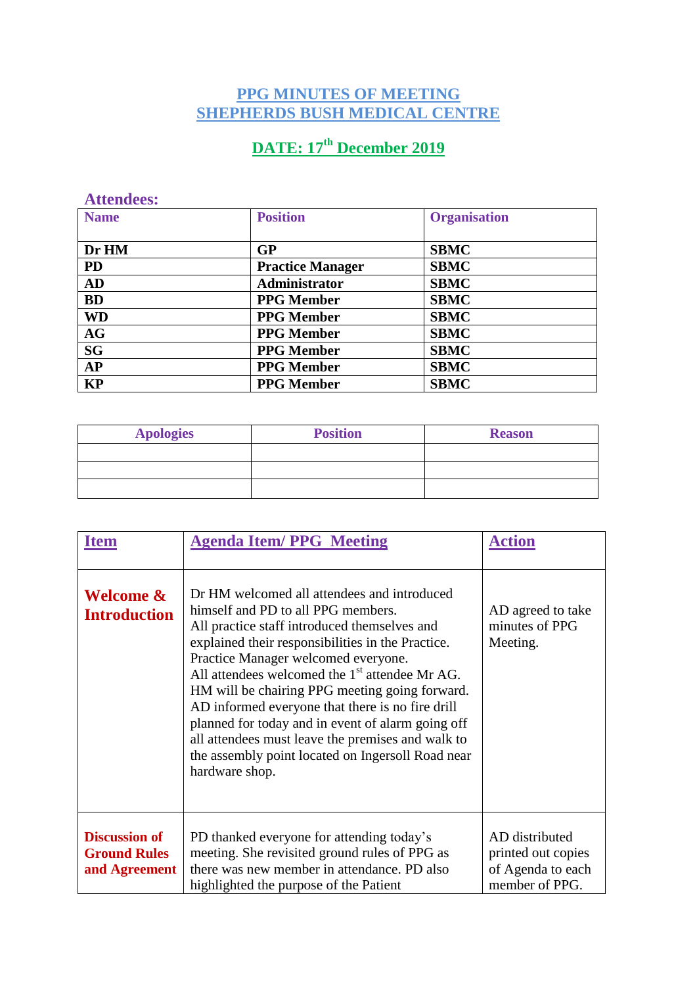## **PPG MINUTES OF MEETING SHEPHERDS BUSH MEDICAL CENTRE**

## **DATE: 17th December 2019**

## **Attendees:**

| <b>Name</b> | <b>Position</b>         | <b>Organisation</b> |
|-------------|-------------------------|---------------------|
|             |                         |                     |
| Dr HM       | GP                      | <b>SBMC</b>         |
| <b>PD</b>   | <b>Practice Manager</b> | <b>SBMC</b>         |
| AD          | Administrator           | <b>SBMC</b>         |
| <b>BD</b>   | <b>PPG Member</b>       | <b>SBMC</b>         |
| <b>WD</b>   | <b>PPG</b> Member       | <b>SBMC</b>         |
| <b>AG</b>   | <b>PPG</b> Member       | <b>SBMC</b>         |
| <b>SG</b>   | <b>PPG Member</b>       | <b>SBMC</b>         |
| AP          | <b>PPG</b> Member       | <b>SBMC</b>         |
| <b>KP</b>   | <b>PPG</b> Member       | <b>SBMC</b>         |

| <b>Apologies</b> | <b>Position</b> | <b>Reason</b> |
|------------------|-----------------|---------------|
|                  |                 |               |
|                  |                 |               |
|                  |                 |               |

| Item                                                         | <b>Agenda Item/PPG Meeting</b>                                                                                                                                                                                                                                                                                                                                                                                                                                                                                                                                           | <b>Action</b>                                                               |
|--------------------------------------------------------------|--------------------------------------------------------------------------------------------------------------------------------------------------------------------------------------------------------------------------------------------------------------------------------------------------------------------------------------------------------------------------------------------------------------------------------------------------------------------------------------------------------------------------------------------------------------------------|-----------------------------------------------------------------------------|
| Welcome &<br><b>Introduction</b>                             | Dr HM welcomed all attendees and introduced<br>himself and PD to all PPG members.<br>All practice staff introduced themselves and<br>explained their responsibilities in the Practice.<br>Practice Manager welcomed everyone.<br>All attendees welcomed the $1st$ attendee Mr AG.<br>HM will be chairing PPG meeting going forward.<br>AD informed everyone that there is no fire drill<br>planned for today and in event of alarm going off<br>all attendees must leave the premises and walk to<br>the assembly point located on Ingersoll Road near<br>hardware shop. | AD agreed to take<br>minutes of PPG<br>Meeting.                             |
| <b>Discussion of</b><br><b>Ground Rules</b><br>and Agreement | PD thanked everyone for attending today's<br>meeting. She revisited ground rules of PPG as<br>there was new member in attendance. PD also<br>highlighted the purpose of the Patient                                                                                                                                                                                                                                                                                                                                                                                      | AD distributed<br>printed out copies<br>of Agenda to each<br>member of PPG. |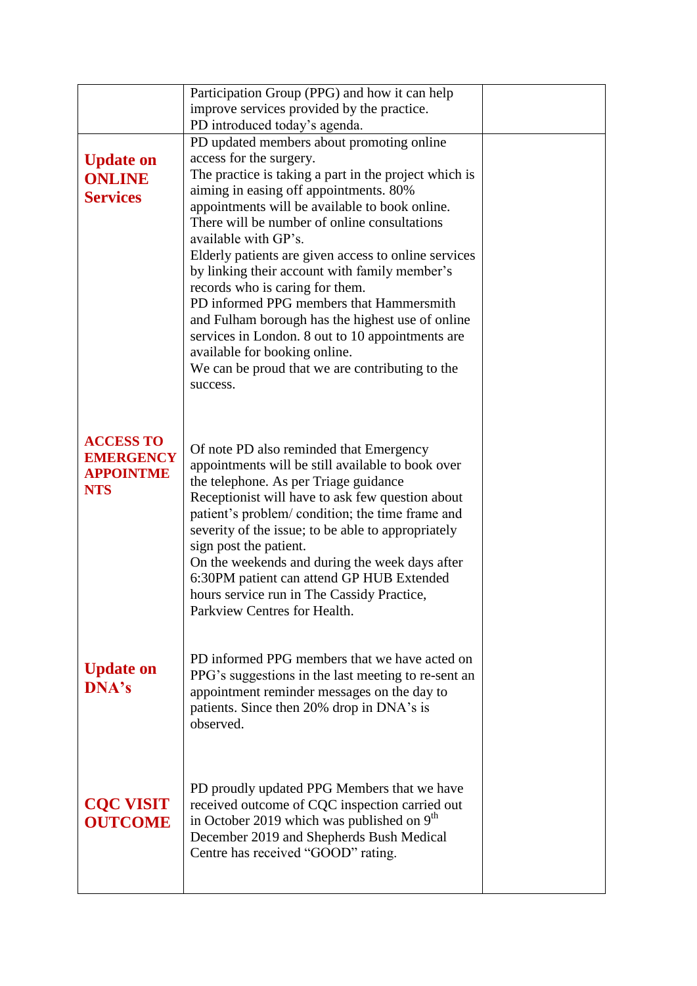|                  | Participation Group (PPG) and how it can help                                                            |  |
|------------------|----------------------------------------------------------------------------------------------------------|--|
|                  | improve services provided by the practice.                                                               |  |
|                  | PD introduced today's agenda.                                                                            |  |
|                  | PD updated members about promoting online                                                                |  |
| <b>Update on</b> | access for the surgery.                                                                                  |  |
| <b>ONLINE</b>    | The practice is taking a part in the project which is                                                    |  |
| <b>Services</b>  | aiming in easing off appointments. 80%                                                                   |  |
|                  | appointments will be available to book online.                                                           |  |
|                  | There will be number of online consultations                                                             |  |
|                  | available with GP's.                                                                                     |  |
|                  | Elderly patients are given access to online services                                                     |  |
|                  | by linking their account with family member's                                                            |  |
|                  | records who is caring for them.                                                                          |  |
|                  | PD informed PPG members that Hammersmith                                                                 |  |
|                  | and Fulham borough has the highest use of online                                                         |  |
|                  | services in London. 8 out to 10 appointments are                                                         |  |
|                  | available for booking online.                                                                            |  |
|                  | We can be proud that we are contributing to the                                                          |  |
|                  | success.                                                                                                 |  |
|                  |                                                                                                          |  |
|                  |                                                                                                          |  |
| <b>ACCESS TO</b> | Of note PD also reminded that Emergency                                                                  |  |
| <b>EMERGENCY</b> | appointments will be still available to book over                                                        |  |
| <b>APPOINTME</b> | the telephone. As per Triage guidance                                                                    |  |
| <b>NTS</b>       | Receptionist will have to ask few question about                                                         |  |
|                  | patient's problem/ condition; the time frame and                                                         |  |
|                  | severity of the issue; to be able to appropriately                                                       |  |
|                  | sign post the patient.                                                                                   |  |
|                  | On the weekends and during the week days after                                                           |  |
|                  | 6:30PM patient can attend GP HUB Extended                                                                |  |
|                  | hours service run in The Cassidy Practice,<br>Parkview Centres for Health.                               |  |
|                  |                                                                                                          |  |
|                  |                                                                                                          |  |
|                  | PD informed PPG members that we have acted on                                                            |  |
| <b>Update on</b> | PPG's suggestions in the last meeting to re-sent an                                                      |  |
| <b>DNA's</b>     | appointment reminder messages on the day to                                                              |  |
|                  | patients. Since then 20% drop in DNA's is                                                                |  |
|                  | observed.                                                                                                |  |
|                  |                                                                                                          |  |
|                  |                                                                                                          |  |
|                  |                                                                                                          |  |
| <b>CQC VISIT</b> | PD proudly updated PPG Members that we have                                                              |  |
|                  | received outcome of CQC inspection carried out<br>in October 2019 which was published on 9 <sup>th</sup> |  |
| <b>OUTCOME</b>   | December 2019 and Shepherds Bush Medical                                                                 |  |
|                  | Centre has received "GOOD" rating.                                                                       |  |
|                  |                                                                                                          |  |
|                  |                                                                                                          |  |